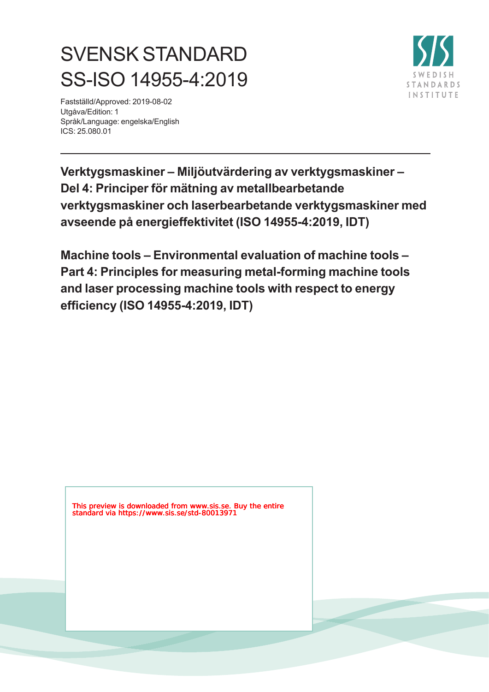# SVENSK STANDARD SS-ISO 14955-4:2019



Fastställd/Approved: 2019-08-02 Utgåva/Edition: 1 Språk/Language: engelska/English ICS: 25.080.01

**Verktygsmaskiner – Miljöutvärdering av verktygsmaskiner – Del 4: Principer för mätning av metallbearbetande verktygsmaskiner och laserbearbetande verktygsmaskiner med avseende på energieffektivitet (ISO 14955‑4:2019, IDT)**

**Machine tools – Environmental evaluation of machine tools – Part 4: Principles for measuring metal-forming machine tools and laser processing machine tools with respect to energy efficiency (ISO 14955‑4:2019, IDT)**

This preview is downloaded from www.sis.se. Buy the entire standard via https://www.sis.se/std-80013971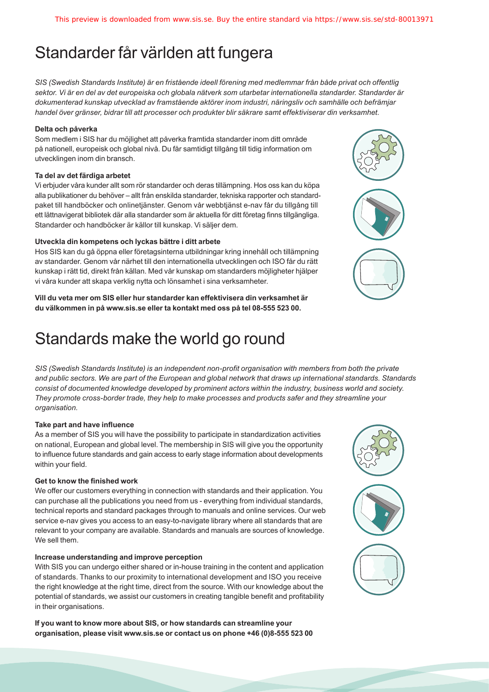## Standarder får världen att fungera

*SIS (Swedish Standards Institute) är en fristående ideell förening med medlemmar från både privat och offentlig sektor. Vi är en del av det europeiska och globala nätverk som utarbetar internationella standarder. Standarder är dokumenterad kunskap utvecklad av framstående aktörer inom industri, näringsliv och samhälle och befrämjar handel över gränser, bidrar till att processer och produkter blir säkrare samt effektiviserar din verksamhet.* 

#### **Delta och påverka**

Som medlem i SIS har du möjlighet att påverka framtida standarder inom ditt område på nationell, europeisk och global nivå. Du får samtidigt tillgång till tidig information om utvecklingen inom din bransch.

#### **Ta del av det färdiga arbetet**

Vi erbjuder våra kunder allt som rör standarder och deras tillämpning. Hos oss kan du köpa alla publikationer du behöver – allt från enskilda standarder, tekniska rapporter och standardpaket till handböcker och onlinetjänster. Genom vår webbtjänst e-nav får du tillgång till ett lättnavigerat bibliotek där alla standarder som är aktuella för ditt företag finns tillgängliga. Standarder och handböcker är källor till kunskap. Vi säljer dem.

#### **Utveckla din kompetens och lyckas bättre i ditt arbete**

Hos SIS kan du gå öppna eller företagsinterna utbildningar kring innehåll och tillämpning av standarder. Genom vår närhet till den internationella utvecklingen och ISO får du rätt kunskap i rätt tid, direkt från källan. Med vår kunskap om standarders möjligheter hjälper vi våra kunder att skapa verklig nytta och lönsamhet i sina verksamheter.

**Vill du veta mer om SIS eller hur standarder kan effektivisera din verksamhet är du välkommen in på www.sis.se eller ta kontakt med oss på tel 08-555 523 00.**

## Standards make the world go round

*SIS (Swedish Standards Institute) is an independent non-profit organisation with members from both the private and public sectors. We are part of the European and global network that draws up international standards. Standards consist of documented knowledge developed by prominent actors within the industry, business world and society. They promote cross-border trade, they help to make processes and products safer and they streamline your organisation.*

#### **Take part and have influence**

As a member of SIS you will have the possibility to participate in standardization activities on national, European and global level. The membership in SIS will give you the opportunity to influence future standards and gain access to early stage information about developments within your field.

#### **Get to know the finished work**

We offer our customers everything in connection with standards and their application. You can purchase all the publications you need from us - everything from individual standards, technical reports and standard packages through to manuals and online services. Our web service e-nav gives you access to an easy-to-navigate library where all standards that are relevant to your company are available. Standards and manuals are sources of knowledge. We sell them.

#### **Increase understanding and improve perception**

With SIS you can undergo either shared or in-house training in the content and application of standards. Thanks to our proximity to international development and ISO you receive the right knowledge at the right time, direct from the source. With our knowledge about the potential of standards, we assist our customers in creating tangible benefit and profitability in their organisations.

**If you want to know more about SIS, or how standards can streamline your organisation, please visit www.sis.se or contact us on phone +46 (0)8-555 523 00**



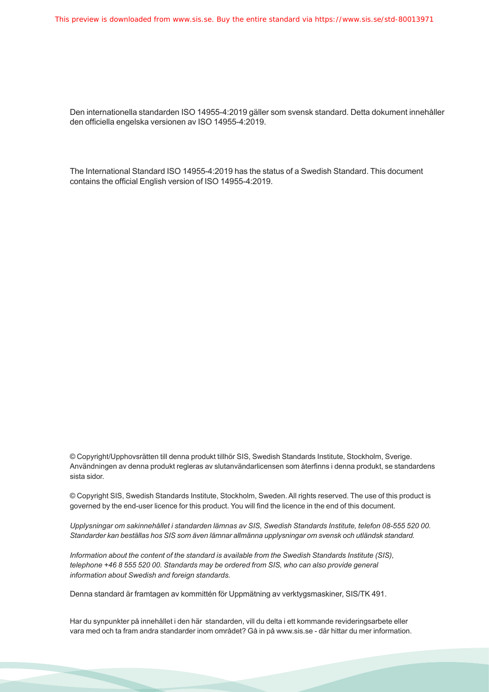Den internationella standarden ISO 14955-4:2019 gäller som svensk standard. Detta dokument innehåller den officiella engelska versionen av ISO 14955-4:2019.

The International Standard ISO 14955-4:2019 has the status of a Swedish Standard. This document contains the official English version of ISO 14955-4:2019.

© Copyright/Upphovsrätten till denna produkt tillhör SIS, Swedish Standards Institute, Stockholm, Sverige. Användningen av denna produkt regleras av slutanvändarlicensen som återfinns i denna produkt, se standardens sista sidor.

© Copyright SIS, Swedish Standards Institute, Stockholm, Sweden. All rights reserved. The use of this product is governed by the end-user licence for this product. You will find the licence in the end of this document.

*Upplysningar om sakinnehållet i standarden lämnas av SIS, Swedish Standards Institute, telefon 08-555 520 00. Standarder kan beställas hos SIS som även lämnar allmänna upplysningar om svensk och utländsk standard.*

*Information about the content of the standard is available from the Swedish Standards Institute (SIS), telephone +46 8 555 520 00. Standards may be ordered from SIS, who can also provide general information about Swedish and foreign standards.*

Denna standard är framtagen av kommittén för Uppmätning av verktygsmaskiner, SIS/TK 491.

Har du synpunkter på innehållet i den här standarden, vill du delta i ett kommande revideringsarbete eller vara med och ta fram andra standarder inom området? Gå in på www.sis.se - där hittar du mer information.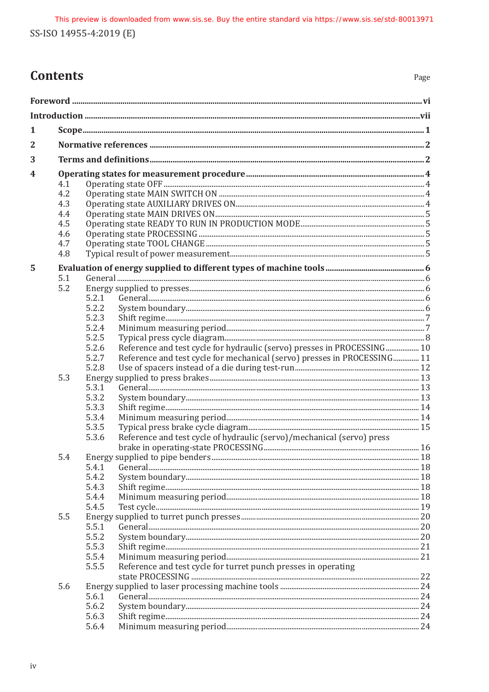## **Contents**

| 1                       |     |                |                                                                          |  |  |
|-------------------------|-----|----------------|--------------------------------------------------------------------------|--|--|
| $\overline{2}$          |     |                |                                                                          |  |  |
| 3                       |     |                |                                                                          |  |  |
|                         |     |                |                                                                          |  |  |
| $\overline{\mathbf{4}}$ | 4.1 |                |                                                                          |  |  |
|                         | 4.2 |                |                                                                          |  |  |
|                         | 4.3 |                |                                                                          |  |  |
|                         | 4.4 |                |                                                                          |  |  |
|                         | 4.5 |                |                                                                          |  |  |
|                         | 4.6 |                |                                                                          |  |  |
|                         | 4.7 |                |                                                                          |  |  |
|                         | 4.8 |                |                                                                          |  |  |
| 5                       |     |                |                                                                          |  |  |
|                         | 5.1 |                |                                                                          |  |  |
|                         | 5.2 |                |                                                                          |  |  |
|                         |     | 5.2.1          |                                                                          |  |  |
|                         |     | 5.2.2          |                                                                          |  |  |
|                         |     | 5.2.3          |                                                                          |  |  |
|                         |     | 5.2.4          |                                                                          |  |  |
|                         |     | 5.2.5          |                                                                          |  |  |
|                         |     | 5.2.6          | Reference and test cycle for hydraulic (servo) presses in PROCESSING 10  |  |  |
|                         |     | 5.2.7          | Reference and test cycle for mechanical (servo) presses in PROCESSING 11 |  |  |
|                         |     | 5.2.8          |                                                                          |  |  |
|                         | 5.3 |                |                                                                          |  |  |
|                         |     | 5.3.1<br>5.3.2 |                                                                          |  |  |
|                         |     | 5.3.3          |                                                                          |  |  |
|                         |     | 5.3.4          |                                                                          |  |  |
|                         |     | 5.3.5          |                                                                          |  |  |
|                         |     | 5.3.6          | Reference and test cycle of hydraulic (servo)/mechanical (servo) press   |  |  |
|                         |     |                |                                                                          |  |  |
|                         | 5.4 |                |                                                                          |  |  |
|                         |     | 5.4.1          |                                                                          |  |  |
|                         |     | 5.4.2          |                                                                          |  |  |
|                         |     | 5.4.3          |                                                                          |  |  |
|                         |     | 5.4.4          |                                                                          |  |  |
|                         |     | 5.4.5          |                                                                          |  |  |
|                         | 5.5 |                |                                                                          |  |  |
|                         |     | 5.5.1          |                                                                          |  |  |
|                         |     | 5.5.2          |                                                                          |  |  |
|                         |     | 5.5.3          |                                                                          |  |  |
|                         |     | 5.5.4          |                                                                          |  |  |
|                         |     | 5.5.5          | Reference and test cycle for turret punch presses in operating           |  |  |
|                         |     |                |                                                                          |  |  |
|                         | 5.6 |                |                                                                          |  |  |
|                         |     | 5.6.1          |                                                                          |  |  |
|                         |     | 5.6.2          |                                                                          |  |  |
|                         |     | 5.6.3          |                                                                          |  |  |
|                         |     | 5.6.4          |                                                                          |  |  |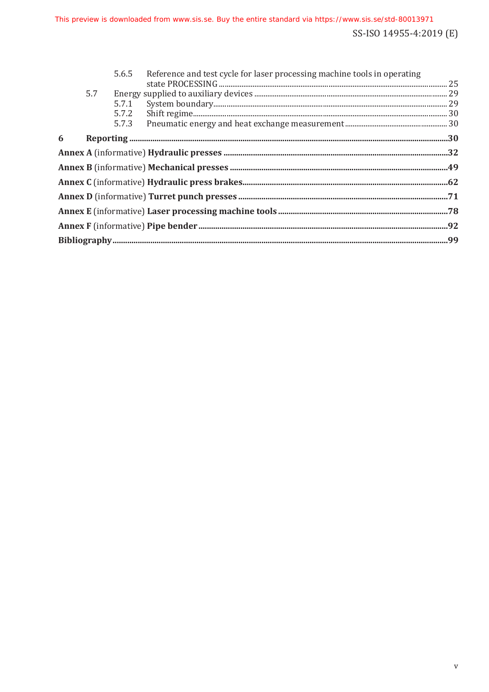|   |     | 5.6.5 Reference and test cycle for laser processing machine tools in operating |  |
|---|-----|--------------------------------------------------------------------------------|--|
|   |     |                                                                                |  |
|   | 5.7 |                                                                                |  |
|   |     |                                                                                |  |
|   |     |                                                                                |  |
|   |     |                                                                                |  |
| 6 |     |                                                                                |  |
|   |     |                                                                                |  |
|   |     |                                                                                |  |
|   |     |                                                                                |  |
|   |     |                                                                                |  |
|   |     |                                                                                |  |
|   |     |                                                                                |  |
|   |     |                                                                                |  |
|   |     |                                                                                |  |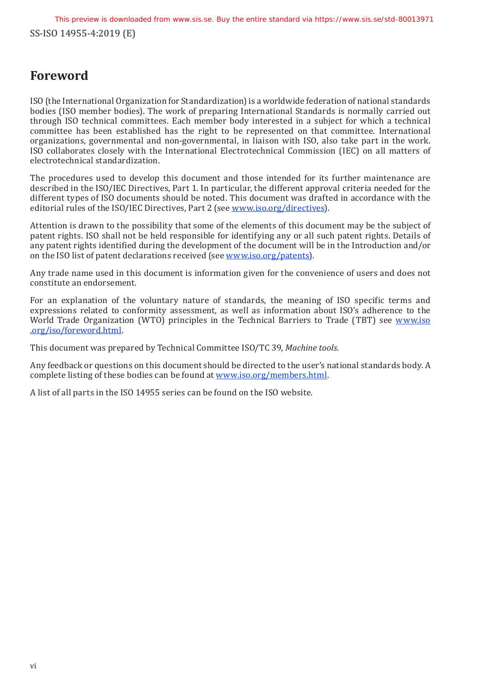## **Foreword**

ISO (the International Organization for Standardization) is a worldwide federation of national standards bodies (ISO member bodies). The work of preparing International Standards is normally carried out through ISO technical committees. Each member body interested in a subject for which a technical committee has been established has the right to be represented on that committee. International organizations, governmental and non-governmental, in liaison with ISO, also take part in the work. ISO collaborates closely with the International Electrotechnical Commission (IEC) on all matters of electrotechnical standardization.

The procedures used to develop this document and those intended for its further maintenance are described in the ISO/IEC Directives, Part 1. In particular, the different approval criteria needed for the different types of ISO documents should be noted. This document was drafted in accordance with the editorial rules of the ISO/IEC Directives, Part 2 (see [www.iso.org/directives\)](https://www.iso.org/directives-and-policies.html).

Attention is drawn to the possibility that some of the elements of this document may be the subject of patent rights. ISO shall not be held responsible for identifying any or all such patent rights. Details of any patent rights identified during the development of the document will be in the Introduction and/or on the ISO list of patent declarations received (see [www.iso.org/patents](https://www.iso.org/iso-standards-and-patents.html)).

Any trade name used in this document is information given for the convenience of users and does not constitute an endorsement.

For an explanation of the voluntary nature of standards, the meaning of ISO specific terms and expressions related to conformity assessment, as well as information about ISO's adherence to the World Trade Organization (WTO) principles in the Technical Barriers to Trade (TBT) see [www.iso](https://www.iso.org/foreword-supplementary-information.html) [.org/iso/foreword.html](https://www.iso.org/foreword-supplementary-information.html).

This document was prepared by Technical Committee ISO/TC 39, *Machine tools*.

Any feedback or questions on this document should be directed to the user's national standards body. A complete listing of these bodies can be found at [www.iso.org/members.html.](https://www.iso.org/members.html)

A list of all parts in the ISO 14955 series can be found on the ISO website.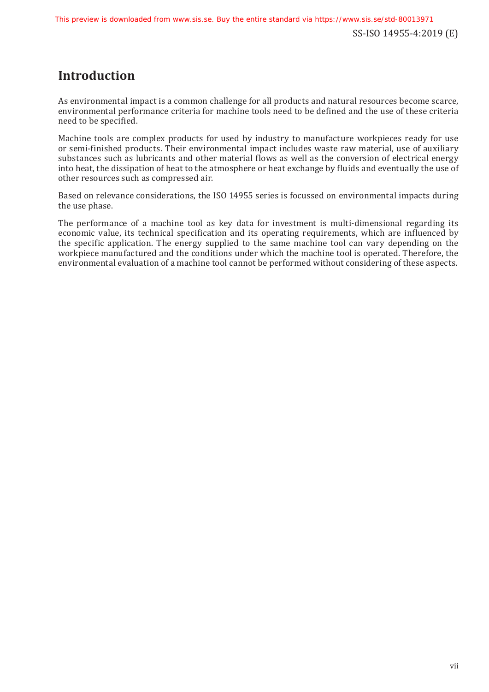## **Introduction**

As environmental impact is a common challenge for all products and natural resources become scarce, environmental performance criteria for machine tools need to be defined and the use of these criteria need to be specified.

Machine tools are complex products for used by industry to manufacture workpieces ready for use or semi-finished products. Their environmental impact includes waste raw material, use of auxiliary substances such as lubricants and other material flows as well as the conversion of electrical energy into heat, the dissipation of heat to the atmosphere or heat exchange by fluids and eventually the use of other resources such as compressed air.

Based on relevance considerations, the ISO 14955 series is focussed on environmental impacts during the use phase.

The performance of a machine tool as key data for investment is multi-dimensional regarding its economic value, its technical specification and its operating requirements, which are influenced by the specific application. The energy supplied to the same machine tool can vary depending on the workpiece manufactured and the conditions under which the machine tool is operated. Therefore, the environmental evaluation of a machine tool cannot be performed without considering of these aspects.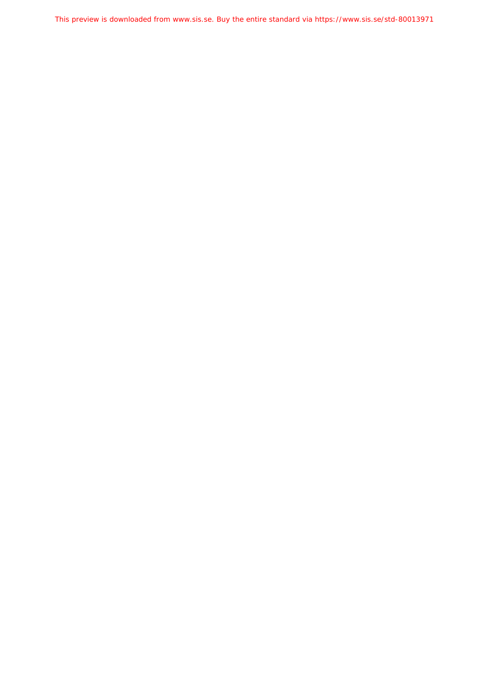This preview is downloaded from www.sis.se. Buy the entire standard via https://www.sis.se/std-80013971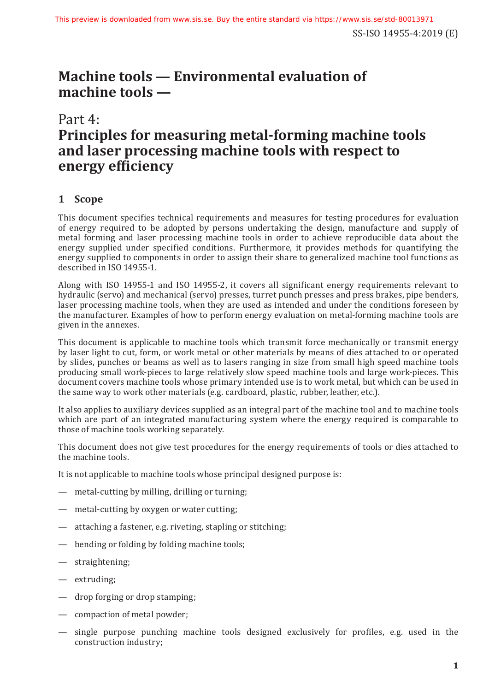## **Machine tools — Environmental evaluation of machine tools —**

## Part 4: **Principles for measuring metal-forming machine tools and laser processing machine tools with respect to energy efficiency**

## **1 Scope**

This document specifies technical requirements and measures for testing procedures for evaluation of energy required to be adopted by persons undertaking the design, manufacture and supply of metal forming and laser processing machine tools in order to achieve reproducible data about the energy supplied under specified conditions. Furthermore, it provides methods for quantifying the energy supplied to components in order to assign their share to generalized machine tool functions as described in ISO 14955-1.

Along with ISO 14955-1 and ISO 14955-2, it covers all significant energy requirements relevant to hydraulic (servo) and mechanical (servo) presses, turret punch presses and press brakes, pipe benders, laser processing machine tools, when they are used as intended and under the conditions foreseen by the manufacturer. Examples of how to perform energy evaluation on metal-forming machine tools are given in the annexes.

This document is applicable to machine tools which transmit force mechanically or transmit energy by laser light to cut, form, or work metal or other materials by means of dies attached to or operated by slides, punches or beams as well as to lasers ranging in size from small high speed machine tools producing small work-pieces to large relatively slow speed machine tools and large work-pieces. This document covers machine tools whose primary intended use is to work metal, but which can be used in the same way to work other materials (e.g. cardboard, plastic, rubber, leather, etc.).

It also applies to auxiliary devices supplied as an integral part of the machine tool and to machine tools which are part of an integrated manufacturing system where the energy required is comparable to those of machine tools working separately.

This document does not give test procedures for the energy requirements of tools or dies attached to the machine tools.

It is not applicable to machine tools whose principal designed purpose is:

- metal-cutting by milling, drilling or turning;
- metal-cutting by oxygen or water cutting;
- attaching a fastener, e.g. riveting, stapling or stitching;
- bending or folding by folding machine tools;
- straightening;
- extruding;
- drop forging or drop stamping;
- compaction of metal powder;
- single purpose punching machine tools designed exclusively for profiles, e.g. used in the construction industry;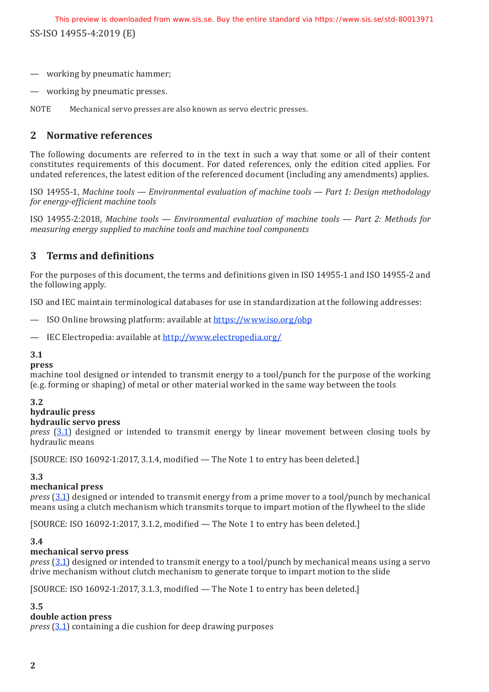- working by pneumatic hammer;
- working by pneumatic presses.

NOTE Mechanical servo presses are also known as servo electric presses.

## **2 Normative references**

The following documents are referred to in the text in such a way that some or all of their content constitutes requirements of this document. For dated references, only the edition cited applies. For undated references, the latest edition of the referenced document (including any amendments) applies.

ISO 14955-1, *Machine tools — Environmental evaluation of machine tools — Part 1: Design methodology for energy-efficient machine tools*

ISO 14955-2:2018, *Machine tools — Environmental evaluation of machine tools — Part 2: Methods for measuring energy supplied to machine tools and machine tool components*

## **3 Terms and definitions**

For the purposes of this document, the terms and definitions given in ISO 14955-1 and ISO 14955-2 and the following apply.

ISO and IEC maintain terminological databases for use in standardization at the following addresses:

- ISO Online browsing platform: available at [https://www.iso.org/obp](https://www.iso.org/obp/ui)
- IEC Electropedia: available at<http://www.electropedia.org/>

## **3.1**

**press**

machine tool designed or intended to transmit energy to a tool/punch for the purpose of the working (e.g. forming or shaping) of metal or other material worked in the same way between the tools

## **3.2**

## **hydraulic press**

### **hydraulic servo press**

*press* (3.1) designed or intended to transmit energy by linear movement between closing tools by hydraulic means

 $[SOURCE: ISO 16092-1:2017, 3.1.4, modified - The Note 1 to entry has been deleted.]$ 

## **3.3**

## **mechanical press**

*press* (3.1) designed or intended to transmit energy from a prime mover to a tool/punch by mechanical means using a clutch mechanism which transmits torque to impart motion of the flywheel to the slide

[SOURCE: ISO 16092-1:2017, 3.1.2, modified — The Note 1 to entry has been deleted.]

## **3.4**

## **mechanical servo press**

*press* (3.1) designed or intended to transmit energy to a tool/punch by mechanical means using a servo drive mechanism without clutch mechanism to generate torque to impart motion to the slide

[SOURCE: ISO 16092-1:2017, 3.1.3, modified — The Note 1 to entry has been deleted.]

## **3.5**

### **double action press**

*press* (3.1) containing a die cushion for deep drawing purposes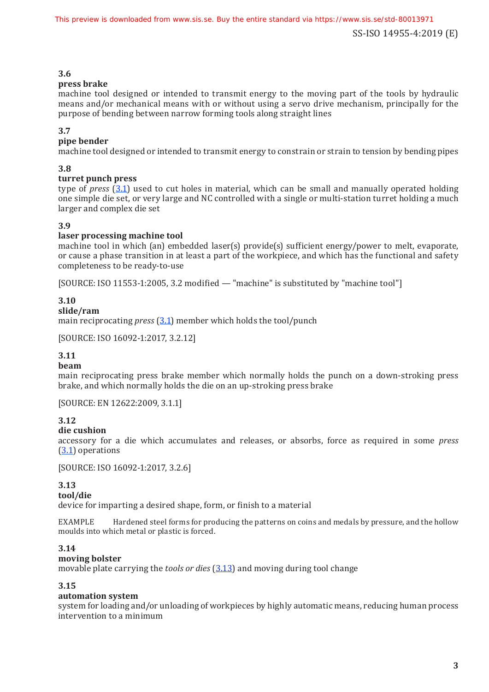## **3.6**

## **press brake**

machine tool designed or intended to transmit energy to the moving part of the tools by hydraulic means and/or mechanical means with or without using a servo drive mechanism, principally for the purpose of bending between narrow forming tools along straight lines

## **3.7**

## **pipe bender**

machine tool designed or intended to transmit energy to constrain or strain to tension by bending pipes

## **3.8**

## **turret punch press**

type of *press* (3.1) used to cut holes in material, which can be small and manually operated holding one simple die set, or very large and NC controlled with a single or multi-station turret holding a much larger and complex die set

## **3.9**

## **laser processing machine tool**

machine tool in which (an) embedded laser(s) provide(s) sufficient energy/power to melt, evaporate, or cause a phase transition in at least a part of the workpiece, and which has the functional and safety completeness to be ready-to-use

[SOURCE: ISO 11553-1:2005, 3.2 modified — "machine" is substituted by "machine tool"]

## **3.10**

## **slide/ram**

main reciprocating *press* (3.1) member which holds the tool/punch

[SOURCE: ISO 16092-1:2017, 3.2.12]

## **3.11**

## **beam**

main reciprocating press brake member which normally holds the punch on a down-stroking press brake, and which normally holds the die on an up-stroking press brake

[SOURCE: EN 12622:2009, 3.1.1]

## **3.12**

## **die cushion**

accessory for a die which accumulates and releases, or absorbs, force as required in some *press* (3.1) operations

[SOURCE: ISO 16092-1:2017, 3.2.6]

## **3.13**

### **tool/die**

device for imparting a desired shape, form, or finish to a material

EXAMPLE Hardened steel forms for producing the patterns on coins and medals by pressure, and the hollow moulds into which metal or plastic is forced.

## **3.14**

### **moving bolster**

movable plate carrying the *tools or dies* (3.13) and moving during tool change

### **3.15**

### **automation system**

system for loading and/or unloading of workpieces by highly automatic means, reducing human process intervention to a minimum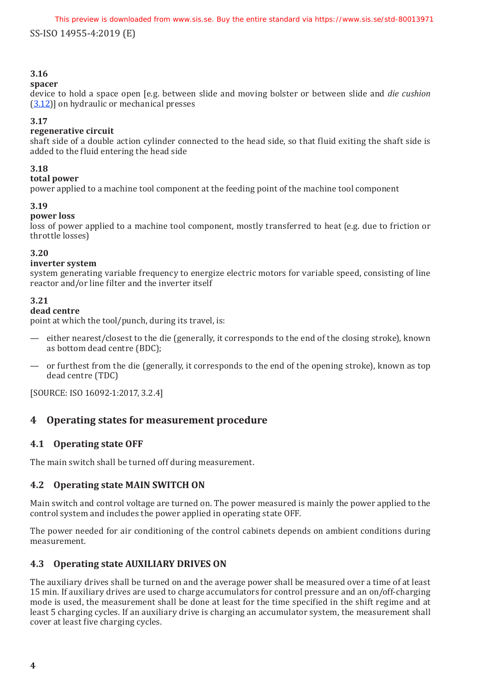SS-ISO 14955-4:2019 (E)

## **3.16**

## **spacer**

device to hold a space open [e.g. between slide and moving bolster or between slide and *die cushion* (3.12)] on hydraulic or mechanical presses

## **3.17**

## **regenerative circuit**

shaft side of a double action cylinder connected to the head side, so that fluid exiting the shaft side is added to the fluid entering the head side

## **3.18**

## **total power**

power applied to a machine tool component at the feeding point of the machine tool component

## **3.19**

## **power loss**

loss of power applied to a machine tool component, mostly transferred to heat (e.g. due to friction or throttle losses)

## **3.20**

## **inverter system**

system generating variable frequency to energize electric motors for variable speed, consisting of line reactor and/or line filter and the inverter itself

## **3.21**

## **dead centre**

point at which the tool/punch, during its travel, is:

- either nearest/closest to the die (generally, it corresponds to the end of the closing stroke), known as bottom dead centre (BDC);
- or furthest from the die (generally, it corresponds to the end of the opening stroke), known as top dead centre (TDC)

[SOURCE: ISO 16092-1:2017, 3.2.4]

## **4 Operating states for measurement procedure**

## **4.1 Operating state OFF**

The main switch shall be turned off during measurement.

## **4.2 Operating state MAIN SWITCH ON**

Main switch and control voltage are turned on. The power measured is mainly the power applied to the control system and includes the power applied in operating state OFF.

The power needed for air conditioning of the control cabinets depends on ambient conditions during measurement.

## **4.3 Operating state AUXILIARY DRIVES ON**

The auxiliary drives shall be turned on and the average power shall be measured over a time of at least 15 min. If auxiliary drives are used to charge accumulators for control pressure and an on/off-charging mode is used, the measurement shall be done at least for the time specified in the shift regime and at least 5 charging cycles. If an auxiliary drive is charging an accumulator system, the measurement shall cover at least five charging cycles.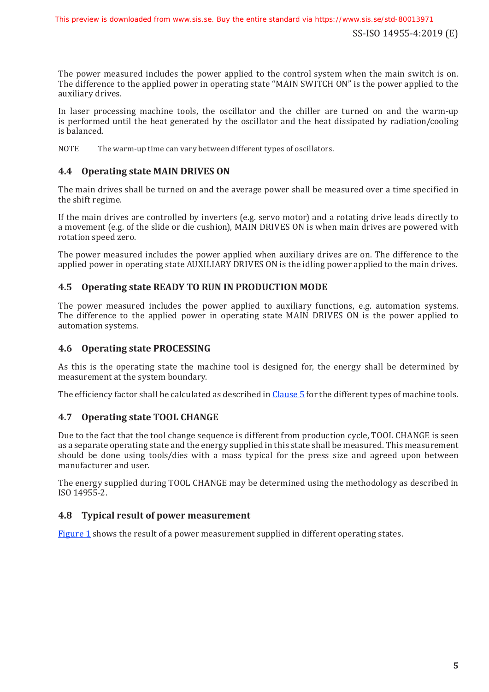The power measured includes the power applied to the control system when the main switch is on. The difference to the applied power in operating state "MAIN SWITCH ON" is the power applied to the auxiliary drives.

In laser processing machine tools, the oscillator and the chiller are turned on and the warm-up is performed until the heat generated by the oscillator and the heat dissipated by radiation/cooling is balanced.

NOTE The warm-up time can vary between different types of oscillators.

## **4.4 Operating state MAIN DRIVES ON**

The main drives shall be turned on and the average power shall be measured over a time specified in the shift regime.

If the main drives are controlled by inverters (e.g. servo motor) and a rotating drive leads directly to a movement (e.g. of the slide or die cushion), MAIN DRIVES ON is when main drives are powered with rotation speed zero.

The power measured includes the power applied when auxiliary drives are on. The difference to the applied power in operating state AUXILIARY DRIVES ON is the idling power applied to the main drives.

## **4.5 Operating state READY TO RUN IN PRODUCTION MODE**

The power measured includes the power applied to auxiliary functions, e.g. automation systems. The difference to the applied power in operating state MAIN DRIVES ON is the power applied to automation systems.

## **4.6 Operating state PROCESSING**

As this is the operating state the machine tool is designed for, the energy shall be determined by measurement at the system boundary.

The efficiency factor shall be calculated as described in Clause 5 for the different types of machine tools.

## **4.7 Operating state TOOL CHANGE**

Due to the fact that the tool change sequence is different from production cycle, TOOL CHANGE is seen as a separate operating state and the energy supplied in this state shall be measured. This measurement should be done using tools/dies with a mass typical for the press size and agreed upon between manufacturer and user.

The energy supplied during TOOL CHANGE may be determined using the methodology as described in ISO 14955-2.

## **4.8 Typical result of power measurement**

Figure 1 shows the result of a power measurement supplied in different operating states.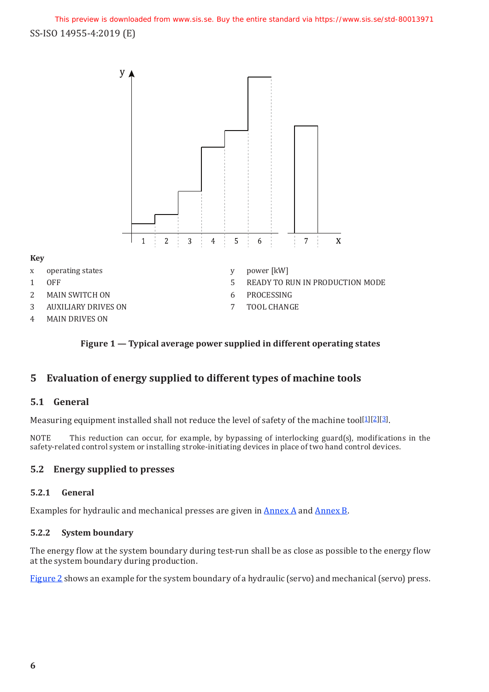SS-ISO 14955-4:2019 (E) This preview is downloaded from www.sis.se. Buy the entire standard via https://www.sis.se/std-80013971



## **Figure 1 — Typical average power supplied in different operating states**

## **5 Evaluation of energy supplied to different types of machine tools**

## **5.1 General**

Measuring equipment installed shall not reduce the level of safety of the machine tool[1][2][3].

NOTE This reduction can occur, for example, by bypassing of interlocking guard(s), modifications in the safety-related control system or installing stroke-initiating devices in place of two hand control devices.

## **5.2 Energy supplied to presses**

### **5.2.1 General**

Examples for hydraulic and mechanical presses are given in Annex A and Annex B.

### **5.2.2 System boundary**

The energy flow at the system boundary during test-run shall be as close as possible to the energy flow at the system boundary during production.

Figure 2 shows an example for the system boundary of a hydraulic (servo) and mechanical (servo) press.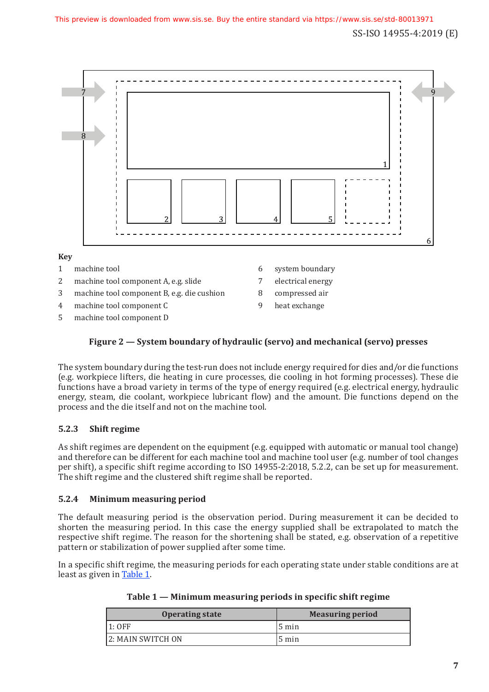

- 
- 2 machine tool component A, e.g. slide 7 electrical energy
- 3 machine tool component B, e.g. die cushion 8 compressed air
- 4 machine tool component C 9 heat exchange
- 5 machine tool component D
- 1 machine tool 6 system boundary
	-
	-
	-

## **Figure 2 — System boundary of hydraulic (servo) and mechanical (servo) presses**

The system boundary during the test-run does not include energy required for dies and/or die functions (e.g. workpiece lifters, die heating in cure processes, die cooling in hot forming processes). These die functions have a broad variety in terms of the type of energy required (e.g. electrical energy, hydraulic energy, steam, die coolant, workpiece lubricant flow) and the amount. Die functions depend on the process and the die itself and not on the machine tool.

## **5.2.3 Shift regime**

As shift regimes are dependent on the equipment (e.g. equipped with automatic or manual tool change) and therefore can be different for each machine tool and machine tool user (e.g. number of tool changes per shift), a specific shift regime according to ISO 14955-2:2018, 5.2.2, can be set up for measurement. The shift regime and the clustered shift regime shall be reported.

## **5.2.4 Minimum measuring period**

The default measuring period is the observation period. During measurement it can be decided to shorten the measuring period. In this case the energy supplied shall be extrapolated to match the respective shift regime. The reason for the shortening shall be stated, e.g. observation of a repetitive pattern or stabilization of power supplied after some time.

In a specific shift regime, the measuring periods for each operating state under stable conditions are at least as given in Table 1.

| <b>Operating state</b> | <b>Measuring period</b> |
|------------------------|-------------------------|
| 1:OFF                  | 5 min                   |
| 12: MAIN SWITCH ON     | 5 min                   |

### **Table 1 — Minimum measuring periods in specific shift regime**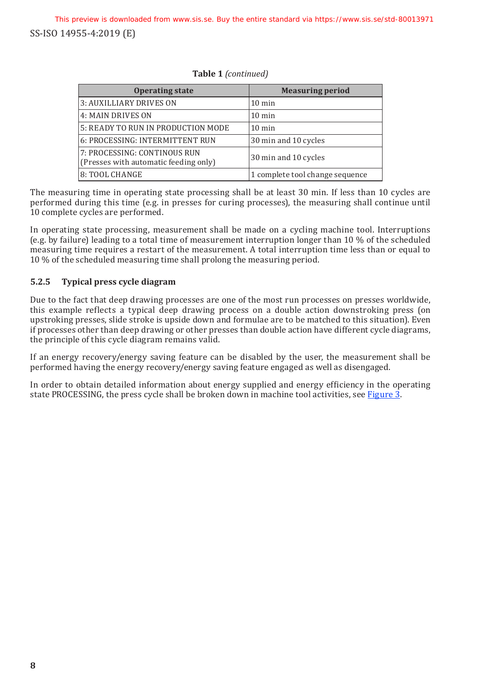| <b>Operating state</b>                                                | <b>Measuring period</b>         |
|-----------------------------------------------------------------------|---------------------------------|
| 3: AUXILLIARY DRIVES ON                                               | $10 \text{ min}$                |
| 4: MAIN DRIVES ON                                                     | $10 \text{ min}$                |
| 5: READY TO RUN IN PRODUCTION MODE                                    | $10 \text{ min}$                |
| 6: PROCESSING: INTERMITTENT RUN                                       | 30 min and 10 cycles            |
| 7: PROCESSING: CONTINOUS RUN<br>(Presses with automatic feeding only) | 30 min and 10 cycles            |
| 8: TOOL CHANGE                                                        | 1 complete tool change sequence |

## **Table 1** *(continued)*

The measuring time in operating state processing shall be at least 30 min. If less than 10 cycles are performed during this time (e.g. in presses for curing processes), the measuring shall continue until 10 complete cycles are performed.

In operating state processing, measurement shall be made on a cycling machine tool. Interruptions (e.g. by failure) leading to a total time of measurement interruption longer than 10 % of the scheduled measuring time requires a restart of the measurement. A total interruption time less than or equal to 10 % of the scheduled measuring time shall prolong the measuring period.

## **5.2.5 Typical press cycle diagram**

Due to the fact that deep drawing processes are one of the most run processes on presses worldwide, this example reflects a typical deep drawing process on a double action downstroking press (on upstroking presses, slide stroke is upside down and formulae are to be matched to this situation). Even if processes other than deep drawing or other presses than double action have different cycle diagrams, the principle of this cycle diagram remains valid.

If an energy recovery/energy saving feature can be disabled by the user, the measurement shall be performed having the energy recovery/energy saving feature engaged as well as disengaged.

In order to obtain detailed information about energy supplied and energy efficiency in the operating state PROCESSING, the press cycle shall be broken down in machine tool activities, see Figure 3.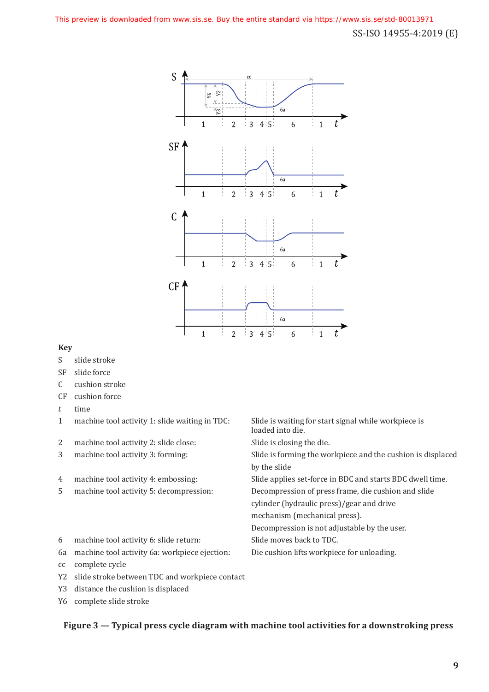

### **Key**

- S slide stroke
- SF slide force
- C cushion stroke
- CF cushion force
- *t* time
- 
- 2 machine tool activity 2: slide close: *Slide is closing the die.*
- 
- 
- 
- 6 machine tool activity 6: slide return: Slide moves back to TDC.
- 6a machine tool activity 6a: workpiece ejection: Die cushion lifts workpiece for unloading.
- cc complete cycle
- Y2 slide stroke between TDC and workpiece contact
- Y3 distance the cushion is displaced
- Y6 complete slide stroke

## **Figure 3 — Typical press cycle diagram with machine tool activities for a downstroking press**

1 machine tool activity 1: slide waiting in TDC: Slide is waiting for start signal while workpiece is loaded into die. 3 machine tool activity 3: forming: Slide is forming the workpiece and the cushion is displaced by the slide 4 machine tool activity 4: embossing: Slide applies set-force in BDC and starts BDC dwell time. 5 machine tool activity 5: decompression: Decompression of press frame, die cushion and slide cylinder (hydraulic press)/gear and drive mechanism (mechanical press). Decompression is not adjustable by the user.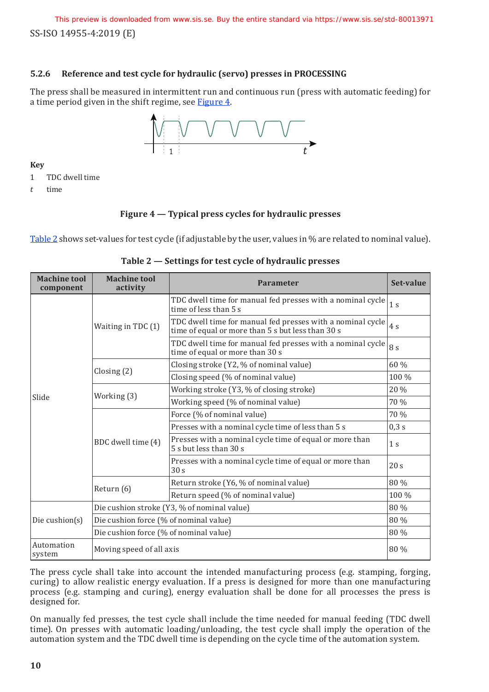SS-ISO 14955-4:2019 (E) This preview is downloaded from www.sis.se. Buy the entire standard via https://www.sis.se/std-80013971

## **5.2.6 Reference and test cycle for hydraulic (servo) presses in PROCESSING**

The press shall be measured in intermittent run and continuous run (press with automatic feeding) for a time period given in the shift regime, see Figure 4.



### **Key**

1 TDC dwell time

*t* time

## **Figure 4 — Typical press cycles for hydraulic presses**

Table 2 shows set-values for test cycle (if adjustable by the user, values in % are related to nominal value).

| <b>Machine tool</b><br>component | <b>Machine tool</b><br>activity             | <b>Parameter</b>                                                                                                | Set-value       |  |
|----------------------------------|---------------------------------------------|-----------------------------------------------------------------------------------------------------------------|-----------------|--|
|                                  |                                             | TDC dwell time for manual fed presses with a nominal cycle<br>time of less than 5 s                             | 1 <sub>s</sub>  |  |
|                                  | Waiting in TDC (1)                          | TDC dwell time for manual fed presses with a nominal cycle<br>time of equal or more than 5 s but less than 30 s | 4s              |  |
|                                  |                                             | TDC dwell time for manual fed presses with a nominal cycle<br>time of equal or more than 30 s                   | 8 <sub>s</sub>  |  |
|                                  |                                             | Closing stroke (Y2, % of nominal value)                                                                         | 60 %            |  |
|                                  | Closing $(2)$                               | Closing speed (% of nominal value)                                                                              | 100 %           |  |
|                                  |                                             | Working stroke (Y3, % of closing stroke)                                                                        | 20 %            |  |
| Slide                            | Working (3)                                 | Working speed (% of nominal value)                                                                              | 70 %            |  |
|                                  | BDC dwell time (4)                          | Force (% of nominal value)                                                                                      | 70 %            |  |
|                                  |                                             | Presses with a nominal cycle time of less than 5 s                                                              | 0.3 s           |  |
|                                  |                                             | Presses with a nominal cycle time of equal or more than<br>5 s but less than 30 s                               | 1 <sub>s</sub>  |  |
|                                  |                                             | Presses with a nominal cycle time of equal or more than<br>30 <sub>s</sub>                                      | 20 <sub>s</sub> |  |
|                                  | Return (6)                                  | Return stroke (Y6, % of nominal value)                                                                          | 80 %            |  |
|                                  |                                             | Return speed (% of nominal value)                                                                               | 100 %           |  |
|                                  | Die cushion stroke (Y3, % of nominal value) |                                                                                                                 |                 |  |
| Die cushion(s)                   | Die cushion force (% of nominal value)      |                                                                                                                 |                 |  |
|                                  | Die cushion force (% of nominal value)      |                                                                                                                 |                 |  |
| Automation<br>system             | Moving speed of all axis<br>80 %            |                                                                                                                 |                 |  |

|  | Table 2 - Settings for test cycle of hydraulic presses |  |  |  |
|--|--------------------------------------------------------|--|--|--|
|--|--------------------------------------------------------|--|--|--|

The press cycle shall take into account the intended manufacturing process (e.g. stamping, forging, curing) to allow realistic energy evaluation. If a press is designed for more than one manufacturing process (e.g. stamping and curing), energy evaluation shall be done for all processes the press is designed for.

On manually fed presses, the test cycle shall include the time needed for manual feeding (TDC dwell time). On presses with automatic loading/unloading, the test cycle shall imply the operation of the automation system and the TDC dwell time is depending on the cycle time of the automation system.